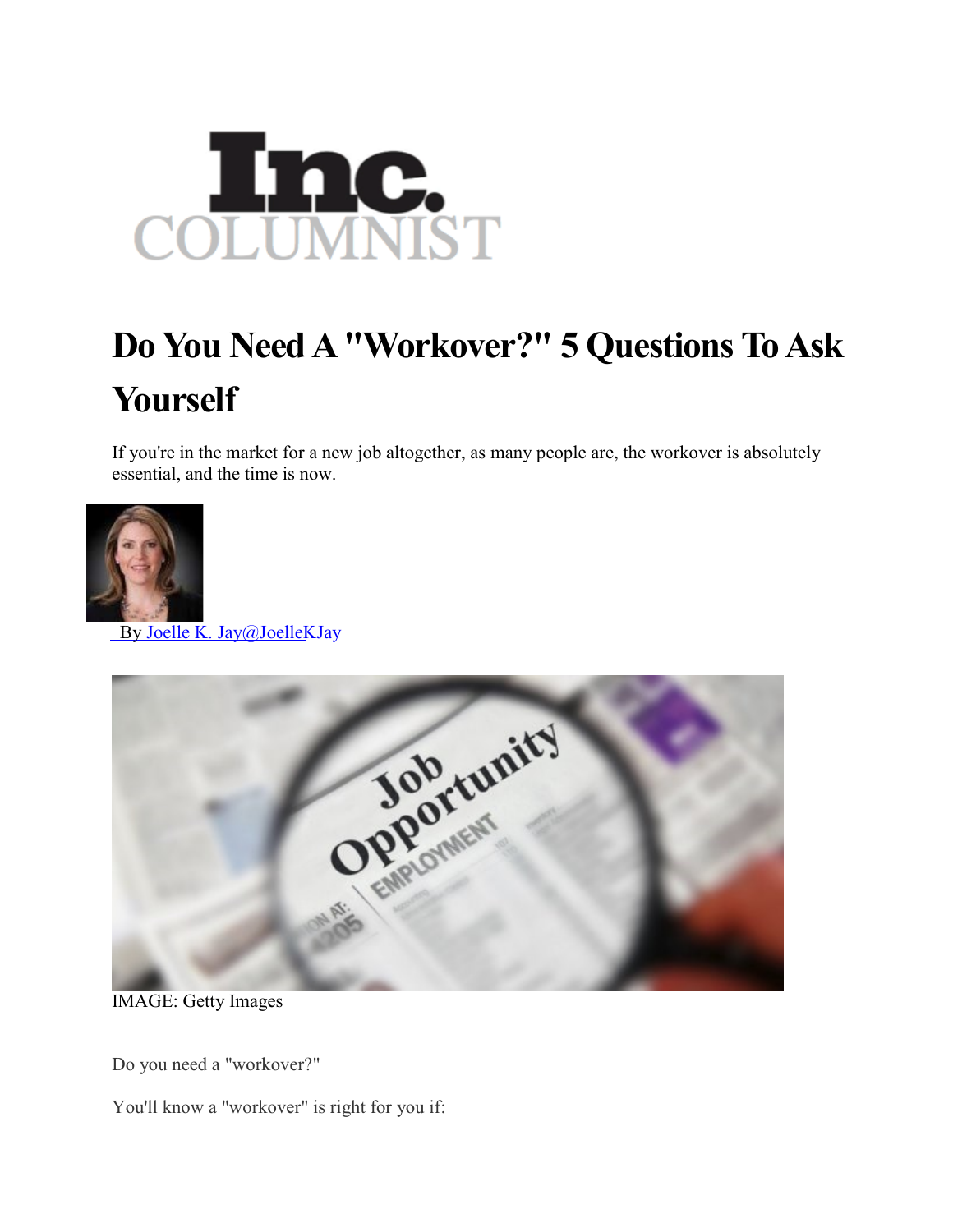

## **Do You Need A "Workover?" 5 Questions To Ask Yourself**

If you're in the market for a new job altogether, as many people are, the workover is absolutely essential, and the time is now.



By Joelle K. [Jay@JoelleKJay](http://www.inc.com/author/joelle-k-jay)



IMAGE: Getty Images

Do you need a "workover?"

You'll know a "workover" is right for you if: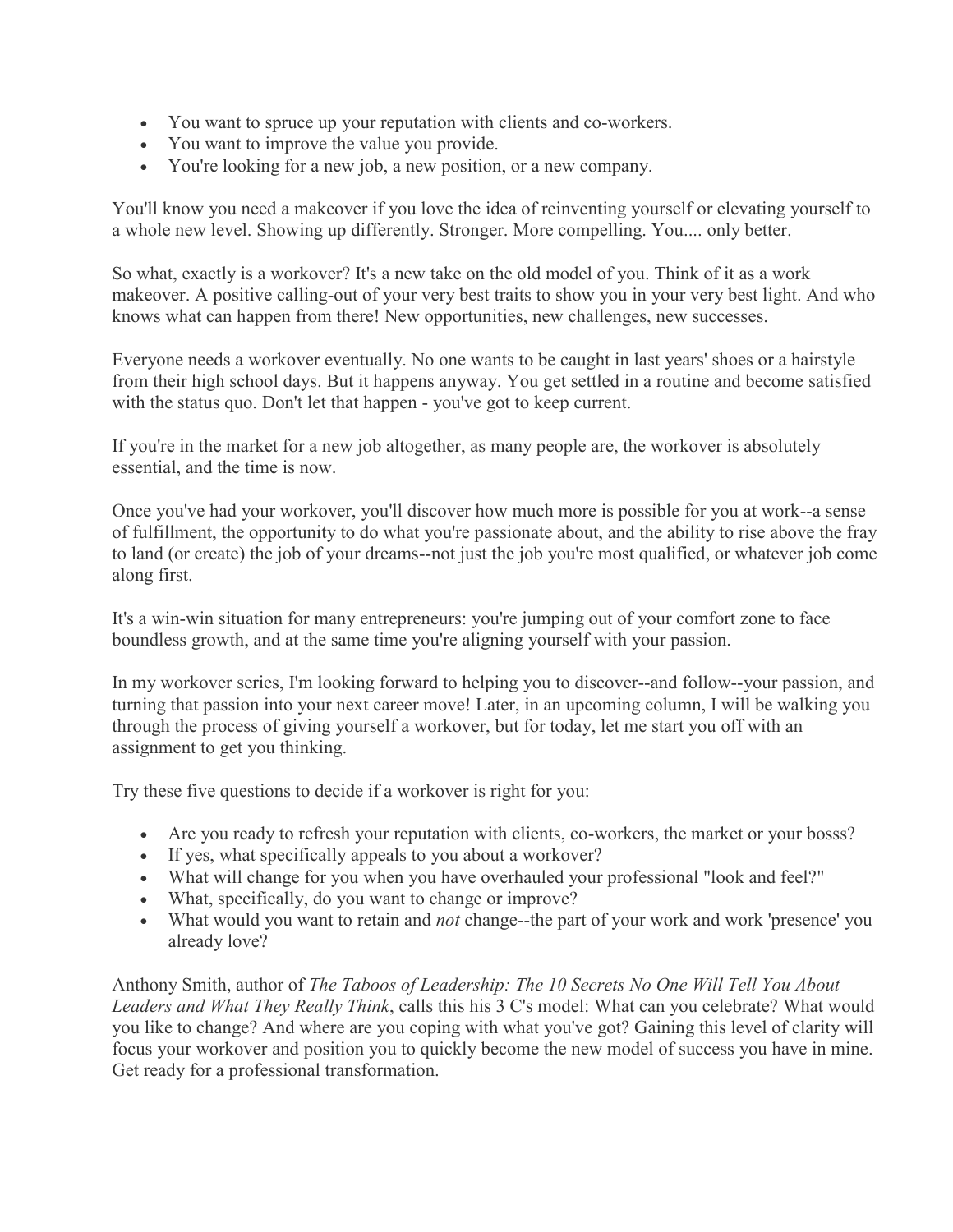- You want to spruce up your reputation with clients and co-workers.
- You want to improve the value you provide.
- You're looking for a new job, a new position, or a new company.

You'll know you need a makeover if you love the idea of reinventing yourself or elevating yourself to a whole new level. Showing up differently. Stronger. More compelling. You.... only better.

So what, exactly is a workover? It's a new take on the old model of you. Think of it as a work makeover. A positive calling-out of your very best traits to show you in your very best light. And who knows what can happen from there! New opportunities, new challenges, new successes.

Everyone needs a workover eventually. No one wants to be caught in last years' shoes or a hairstyle from their high school days. But it happens anyway. You get settled in a routine and become satisfied with the status quo. Don't let that happen - you've got to keep current.

If you're in the market for a new job altogether, as many people are, the workover is absolutely essential, and the time is now.

Once you've had your workover, you'll discover how much more is possible for you at work--a sense of fulfillment, the opportunity to do what you're passionate about, and the ability to rise above the fray to land (or create) the job of your dreams--not just the job you're most qualified, or whatever job come along first.

It's a win-win situation for many entrepreneurs: you're jumping out of your comfort zone to face boundless growth, and at the same time you're aligning yourself with your passion.

In my workover series, I'm looking forward to helping you to discover--and follow--your passion, and turning that passion into your next career move! Later, in an upcoming column, I will be walking you through the process of giving yourself a workover, but for today, let me start you off with an assignment to get you thinking.

Try these five questions to decide if a workover is right for you:

- Are you ready to refresh your reputation with clients, co-workers, the market or your bosss?
- If yes, what specifically appeals to you about a workover?
- What will change for you when you have overhauled your professional "look and feel?"
- What, specifically, do you want to change or improve?
- What would you want to retain and *not* change--the part of your work and work 'presence' you already love?

Anthony Smith, author of *The Taboos of Leadership: The 10 Secrets No One Will Tell You About Leaders and What They Really Think*, calls this his 3 C's model: What can you celebrate? What would you like to change? And where are you coping with what you've got? Gaining this level of clarity will focus your workover and position you to quickly become the new model of success you have in mine. Get ready for a professional transformation.